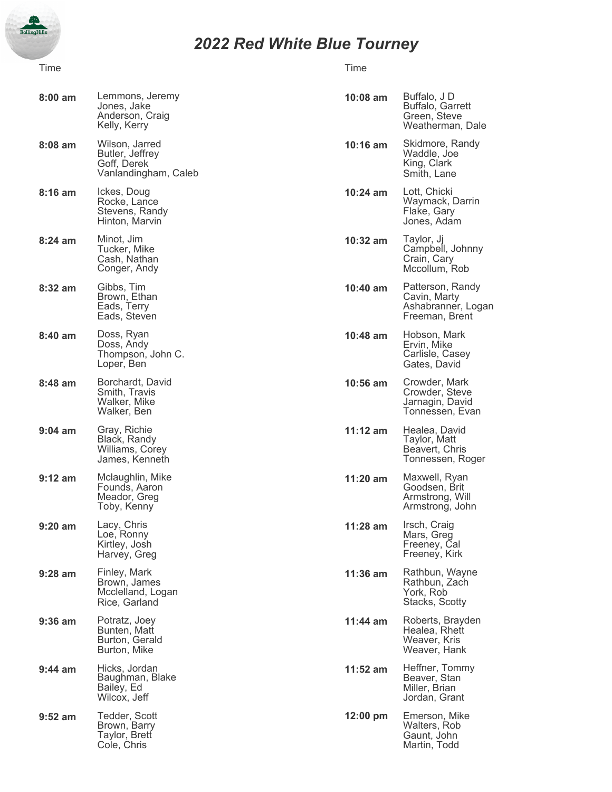

## *2022 Red White Blue Tourney*

## Time **The Time** Time of the Contract of the Time of the Time of the Time of the Time of the Time of the Time of the Time

| $8:00$ am         | Lemmons, Jeremy<br>Jones, Jake<br>Anderson, Craig<br>Kelly, Kerry        | $10:08$ am | Buffalo, J D<br>Buffalo, Garrett<br>Green, Steve<br>Weatherman, Dale     |
|-------------------|--------------------------------------------------------------------------|------------|--------------------------------------------------------------------------|
| $8:08$ am         | Wilson, Jarred<br>Butler, Jeffrey<br>Goff, Derek<br>Vanlandingham, Caleb | $10:16$ am | Skidmore, Randy<br>Waddle, Joe<br>King, Clark<br>Smith, Lane             |
| $8:16$ am         | Ickes, Doug<br>Rocke, Lance<br>Stevens, Randy<br>Hinton, Marvin          | 10:24 am   | Lott, Chicki<br>Waymack, Darrin<br>Flake, Gary<br>Jones, Adam            |
| $8:24$ am         | Minot, Jim<br>Tucker, Mike<br>Cash, Nathan<br>Conger, Andy               | 10:32 am   | Taylor, Jj<br>Campbell, Johnny<br>Crain, Cary<br>Mccollum, Rob           |
| 8:32 am           | Gibbs, Tim<br>Brown, Ethan<br>Eads, Terry<br>Eads, Steven                | $10:40$ am | Patterson, Randy<br>Cavin, Marty<br>Ashabranner, Logan<br>Freeman, Brent |
| 8:40 am           | Doss, Ryan<br>Doss, Andy<br>Thompson, John C.<br>Loper, Ben              | $10:48$ am | Hobson, Mark<br>Ervin, Mike<br>Carlisle, Casey<br>Gates, David           |
| 8:48 am           | Borchardt, David<br>Smith, Travis<br>Walker, Mike<br>Walker, Ben         | 10:56 am   | Crowder, Mark<br>Crowder, Steve<br>Jarnagin, David<br>Tonnessen, Evan    |
| $9:04$ am         | Gray, Richie<br>Black, Randy<br>Williams, Corey<br>James, Kenneth        | $11:12$ am | Healea, David<br>Taylor, Matt<br>Beavert, Chris<br>Tonnessen, Roger      |
| $9:12$ am         | Mclaughlin, Mike<br>Founds, Aaron<br>Meador, Greg<br>Toby, Kenny         | $11:20$ am | Maxwell, Ryan<br>Goodsen, Brit<br>Armstrong, Will<br>Armstrong, John     |
| $9:20$ am         | Lacy, Chris<br>Loe, Ronny<br>Kirtley, Josh<br>Harvey, Greg               | 11:28 am   | Irsch, Craig<br>lviars, Greg<br>Freeney, Cal<br>Freeney, Kirk            |
| $9:28$ am         | Finley, Mark<br>Brown, James<br>Mcclelland, Logan<br>Rice, Garland       | $11:36$ am | Rathbun, Wayne<br>Rathbun, Zach<br>York, Rob<br>Stacks, Scotty           |
| $9:36$ am         | Potratz, Joey<br>Bunten, Matt<br>Burton, Gerald<br>Burton, Mike          | $11:44$ am | Roberts, Brayden<br>Healea, Rhett<br>Weaver, Kris<br>Weaver, Hank        |
| $9:44 \text{ am}$ | Hicks, Jordan<br>Baughman, Blake<br>Bailey, Ed<br>Wilcox, Jeff           | $11:52$ am | Heffner, Tommy<br>Beaver, Stan<br>Miller, Brian<br>Jordan, Grant         |
| $9:52$ am         | Tedder, Scott<br>Brown, Barry<br>Taylor, Brett<br>Cole, Chris            | 12:00 pm   | Emerson, Mike<br>Walters, Rob<br>Gaunt, John<br>Martin, Todd             |